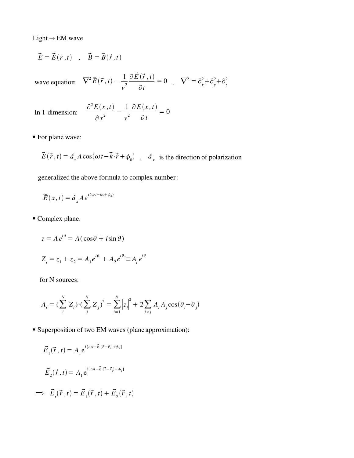Light  $\rightarrow$  EM wave

$$
\vec{E} = \vec{E}(\vec{r}, t) , \quad \vec{B} = \vec{B}(\vec{r}, t)
$$

wave equation:  $\nabla^2 \vec{E}(\vec{r}, t) - \frac{1}{2}$ *v* 2  $\partial\,\vec{E}\,(\vec{r}\, ,t)$ ∂*t*  $= 0$ ,  $\nabla^2 = \partial_x^2 + \partial_y^2 + \partial_z^2$ 2

In 1-dimension:

$$
\frac{\partial^2 E(x,t)}{\partial x^2} - \frac{1}{v^2} \frac{\partial E(x,t)}{\partial t} = 0
$$

For plane wave:

 $\vec{E}(\vec{r},t) = \hat{a}_x A \cos(\omega t - \vec{k} \cdot \vec{r} + \phi_0)$ ,  $\hat{a}_x$  is the direction of polarization

generalized the above formula to complex number :

$$
\widetilde{E}(x,t) = \hat{a}_x A e^{i(\omega t - kx + \phi_0)}
$$

Complex plane:

$$
z = Ae^{i\theta} = A(\cos\theta + i\sin\theta)
$$

$$
Z_{t} = z_{1} + z_{2} = A_{1}e^{i\theta_{1}} + A_{2}e^{i\theta_{2}} \equiv A_{t}e^{i\theta_{t}}
$$

for N sources:

$$
A_{i} = \left(\sum_{i}^{N} Z_{i}\right) \cdot \left(\sum_{j}^{N} Z_{j}\right)^{*} = \sum_{i=1}^{N} \left|z_{i}\right|^{2} + 2 \sum_{i < j} A_{i} A_{j} \cos\left(\theta_{i} - \theta_{j}\right)
$$

Superposition of two EM waves (plane approximation):

$$
\vec{E}_1(\vec{r}, t) = A_1 e^{i[\omega t - \vec{k} \cdot (\vec{r} - \vec{r}_1) + \phi_1]}
$$
  

$$
\vec{E}_2(\vec{r}, t) = A_1 e^{i[\omega t - \vec{k} \cdot (\vec{r} - \vec{r}_2) + \phi_2]}
$$
  

$$
\implies \vec{E}_1(\vec{r}, t) = \vec{E}_1(\vec{r}, t) + \vec{E}_2(\vec{r}, t)
$$